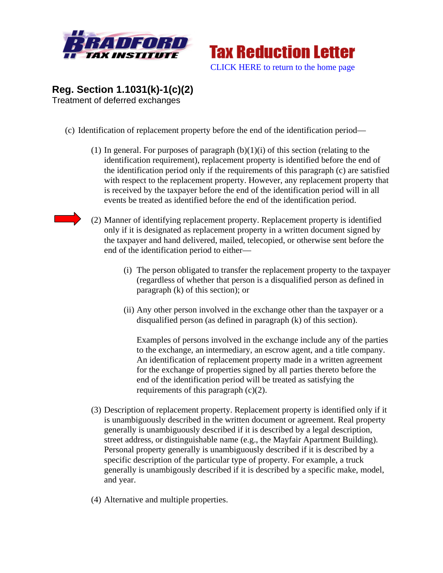



## **Reg. Section 1.1031(k)-1(c)(2)**  Treatment of deferred exchanges

- (c) Identification of replacement property before the end of the identification period—
	- (1) In general. For purposes of paragraph  $(b)(1)(i)$  of this section (relating to the identification requirement), replacement property is identified before the end of the identification period only if the requirements of this paragraph (c) are satisfied with respect to the replacement property. However, any replacement property that is received by the taxpayer before the end of the identification period will in all events be treated as identified before the end of the identification period.
	- (2) Manner of identifying replacement property. Replacement property is identified only if it is designated as replacement property in a written document signed by the taxpayer and hand delivered, mailed, telecopied, or otherwise sent before the end of the identification period to either—
		- (i) The person obligated to transfer the replacement property to the taxpayer (regardless of whether that person is a disqualified person as defined in paragraph (k) of this section); or
		- (ii) Any other person involved in the exchange other than the taxpayer or a disqualified person (as defined in paragraph (k) of this section).

Examples of persons involved in the exchange include any of the parties to the exchange, an intermediary, an escrow agent, and a title company. An identification of replacement property made in a written agreement for the exchange of properties signed by all parties thereto before the end of the identification period will be treated as satisfying the requirements of this paragraph (c)(2).

- (3) Description of replacement property. Replacement property is identified only if it is unambiguously described in the written document or agreement. Real property generally is unambiguously described if it is described by a legal description, street address, or distinguishable name (e.g., the Mayfair Apartment Building). Personal property generally is unambiguously described if it is described by a specific description of the particular type of property. For example, a truck generally is unambigously described if it is described by a specific make, model, and year.
- (4) Alternative and multiple properties.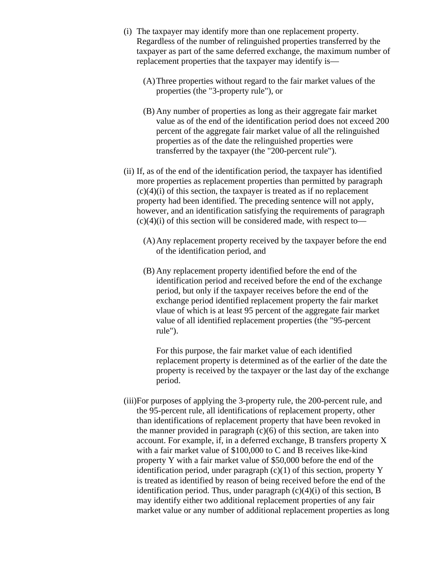- (i) The taxpayer may identify more than one replacement property. Regardless of the number of relinguished properties transferred by the taxpayer as part of the same deferred exchange, the maximum number of replacement properties that the taxpayer may identify is—
	- (A)Three properties without regard to the fair market values of the properties (the "3-property rule"), or
	- (B) Any number of properties as long as their aggregate fair market value as of the end of the identification period does not exceed 200 percent of the aggregate fair market value of all the relinguished properties as of the date the relinguished properties were transferred by the taxpayer (the "200-percent rule").
- (ii) If, as of the end of the identification period, the taxpayer has identified more properties as replacement properties than permitted by paragraph  $(c)(4)(i)$  of this section, the taxpayer is treated as if no replacement property had been identified. The preceding sentence will not apply, however, and an identification satisfying the requirements of paragraph  $(c)(4)(i)$  of this section will be considered made, with respect to-
	- (A)Any replacement property received by the taxpayer before the end of the identification period, and
	- (B) Any replacement property identified before the end of the identification period and received before the end of the exchange period, but only if the taxpayer receives before the end of the exchange period identified replacement property the fair market vlaue of which is at least 95 percent of the aggregate fair market value of all identified replacement properties (the "95-percent rule").

For this purpose, the fair market value of each identified replacement property is determined as of the earlier of the date the property is received by the taxpayer or the last day of the exchange period.

(iii)For purposes of applying the 3-property rule, the 200-percent rule, and the 95-percent rule, all identifications of replacement property, other than identifications of replacement property that have been revoked in the manner provided in paragraph  $(c)(6)$  of this section, are taken into account. For example, if, in a deferred exchange, B transfers property X with a fair market value of \$100,000 to C and B receives like-kind property Y with a fair market value of \$50,000 before the end of the identification period, under paragraph  $(c)(1)$  of this section, property Y is treated as identified by reason of being received before the end of the identification period. Thus, under paragraph  $(c)(4)(i)$  of this section, B may identify either two additional replacement properties of any fair market value or any number of additional replacement properties as long